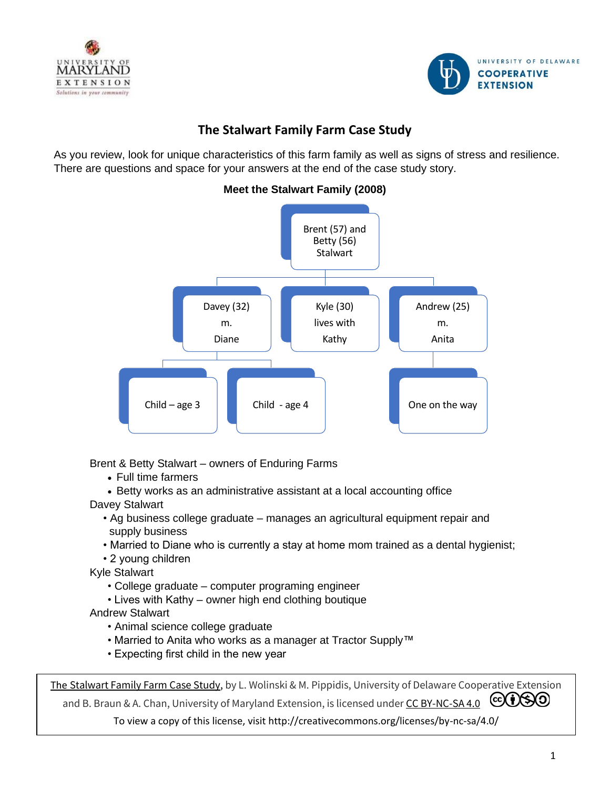



# **The Stalwart Family Farm Case Study**

As you review, look for unique characteristics of this farm family as well as signs of stress and resilience. There are questions and space for your answers at the end of the case study story.



**Meet the Stalwart Family (2008)**

Brent & Betty Stalwart – owners of Enduring Farms

- Full time farmers
- Betty works as an administrative assistant at a local accounting office
- Davey Stalwart
	- Ag business college graduate manages an agricultural equipment repair and supply business
	- Married to Diane who is currently a stay at home mom trained as a dental hygienist;
	- 2 young children

Kyle Stalwart

- College graduate computer programing engineer
- Lives with Kathy owner high end clothing boutique
- Andrew Stalwart
	- Animal science college graduate
	- Married to Anita who works as a manager at Tractor Supply™
	- Expecting first child in the new year

The [Stalwart Family Farm](https://www.udel.edu/academics/colleges/canr/cooperative-extension/) Case Study, by L. Wolinski & M. Pippidis, University of Delaware Cooperative Extension

and B. Braun & A. Chan, University of Maryland Extension, is licensed under [CC BY-NC-SA 4.0](https://udwinprod-my.sharepoint.com/personal/pippidis_udel_edu/Documents/Documents/FILES/health%20insurance/farmer%20project/sustainable%20coastal%20communities%20project/CC%20BY-NC-SA%204.0 )  $\odot$   $\odot$ 

To view a copy of this license, visit http://creativecommons.org/licenses/by-nc-sa/4.0/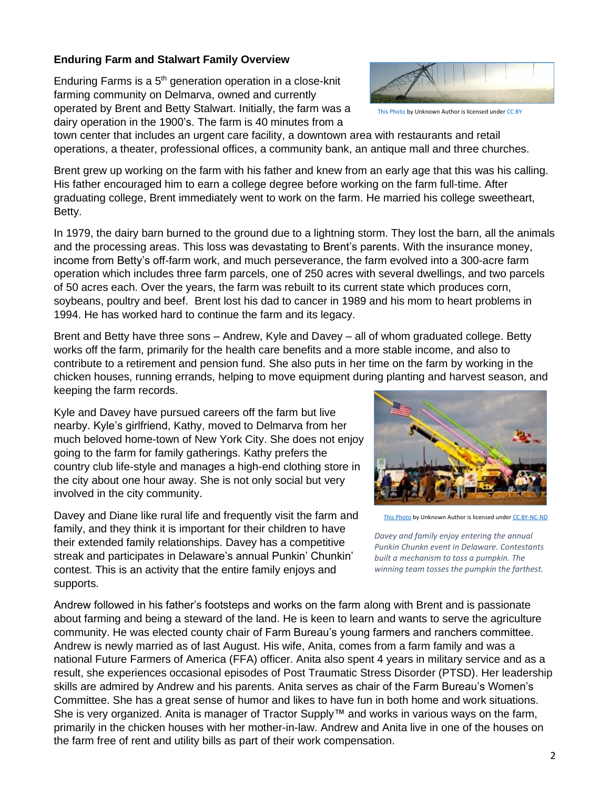## **Enduring Farm and Stalwart Family Overview**

Enduring Farms is a 5<sup>th</sup> generation operation in a close-knit farming community on Delmarva, owned and currently operated by Brent and Betty Stalwart. Initially, the farm was a dairy operation in the 1900's. The farm is 40 minutes from a



[This Photo](http://www.environment.gov.au/water/) by Unknown Author is licensed unde[r CC BY](https://creativecommons.org/licenses/by/3.0/)

town center that includes an urgent care facility, a downtown area with restaurants and retail operations, a theater, professional offices, a community bank, an antique mall and three churches.

Brent grew up working on the farm with his father and knew from an early age that this was his calling. His father encouraged him to earn a college degree before working on the farm full-time. After graduating college, Brent immediately went to work on the farm. He married his college sweetheart, Betty.

In 1979, the dairy barn burned to the ground due to a lightning storm. They lost the barn, all the animals and the processing areas. This loss was devastating to Brent's parents. With the insurance money, income from Betty's off-farm work, and much perseverance, the farm evolved into a 300-acre farm operation which includes three farm parcels, one of 250 acres with several dwellings, and two parcels of 50 acres each. Over the years, the farm was rebuilt to its current state which produces corn, soybeans, poultry and beef. Brent lost his dad to cancer in 1989 and his mom to heart problems in 1994. He has worked hard to continue the farm and its legacy.

Brent and Betty have three sons – Andrew, Kyle and Davey – all of whom graduated college. Betty works off the farm, primarily for the health care benefits and a more stable income, and also to contribute to a retirement and pension fund. She also puts in her time on the farm by working in the chicken houses, running errands, helping to move equipment during planting and harvest season, and keeping the farm records.

Kyle and Davey have pursued careers off the farm but live nearby. Kyle's girlfriend, Kathy, moved to Delmarva from her much beloved home-town of New York City. She does not enjoy going to the farm for family gatherings. Kathy prefers the country club life-style and manages a high-end clothing store in the city about one hour away. She is not only social but very involved in the city community.

Davey and Diane like rural life and frequently visit the farm and family, and they think it is important for their children to have their extended family relationships. Davey has a competitive streak and participates in Delaware's annual Punkin' Chunkin' contest. This is an activity that the entire family enjoys and supports.



[This Photo](https://www.flickr.com/photos/vpickering/5151207419) by Unknown Author is licensed unde[r CC BY-NC-ND](https://creativecommons.org/licenses/by-nc-nd/3.0/)

*Davey and family enjoy entering the annual Punkin Chunkn event in Delaware. Contestants built a mechanism to toss a pumpkin. The winning team tosses the pumpkin the farthest.*

Andrew followed in his father's footsteps and works on the farm along with Brent and is passionate about farming and being a steward of the land. He is keen to learn and wants to serve the agriculture community. He was elected county chair of Farm Bureau's young farmers and ranchers committee. Andrew is newly married as of last August. His wife, Anita, comes from a farm family and was a national Future Farmers of America (FFA) officer. Anita also spent 4 years in military service and as a result, she experiences occasional episodes of Post Traumatic Stress Disorder (PTSD). Her leadership skills are admired by Andrew and his parents. Anita serves as chair of the Farm Bureau's Women's Committee. She has a great sense of humor and likes to have fun in both home and work situations. She is very organized. Anita is manager of Tractor Supply™ and works in various ways on the farm, primarily in the chicken houses with her mother-in-law. Andrew and Anita live in one of the houses on the farm free of rent and utility bills as part of their work compensation.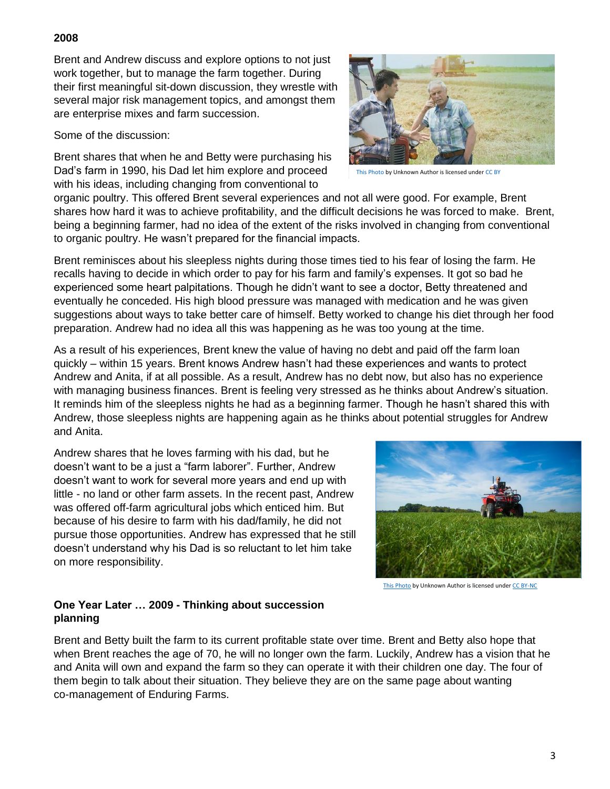### **2008**

Brent and Andrew discuss and explore options to not just work together, but to manage the farm together. During their first meaningful sit-down discussion, they wrestle with several major risk management topics, and amongst them are enterprise mixes and farm succession.

Some of the discussion:

Brent shares that when he and Betty were purchasing his Dad's farm in 1990, his Dad let him explore and proceed with his ideas, including changing from conventional to



[This Photo](https://digital1st.initiatives.qld.gov.au/) by Unknown Author is licensed unde[r CC BY](https://creativecommons.org/licenses/by/3.0/)

organic poultry. This offered Brent several experiences and not all were good. For example, Brent shares how hard it was to achieve profitability, and the difficult decisions he was forced to make. Brent, being a beginning farmer, had no idea of the extent of the risks involved in changing from conventional to organic poultry. He wasn't prepared for the financial impacts.

Brent reminisces about his sleepless nights during those times tied to his fear of losing the farm. He recalls having to decide in which order to pay for his farm and family's expenses. It got so bad he experienced some heart palpitations. Though he didn't want to see a doctor, Betty threatened and eventually he conceded. His high blood pressure was managed with medication and he was given suggestions about ways to take better care of himself. Betty worked to change his diet through her food preparation. Andrew had no idea all this was happening as he was too young at the time.

As a result of his experiences, Brent knew the value of having no debt and paid off the farm loan quickly – within 15 years. Brent knows Andrew hasn't had these experiences and wants to protect Andrew and Anita, if at all possible. As a result, Andrew has no debt now, but also has no experience with managing business finances. Brent is feeling very stressed as he thinks about Andrew's situation. It reminds him of the sleepless nights he had as a beginning farmer. Though he hasn't shared this with Andrew, those sleepless nights are happening again as he thinks about potential struggles for Andrew and Anita.

Andrew shares that he loves farming with his dad, but he doesn't want to be a just a "farm laborer". Further, Andrew doesn't want to work for several more years and end up with little - no land or other farm assets. In the recent past, Andrew was offered off-farm agricultural jobs which enticed him. But because of his desire to farm with his dad/family, he did not pursue those opportunities. Andrew has expressed that he still doesn't understand why his Dad is so reluctant to let him take on more responsibility.



[This Photo](https://www.flickr.com/photos/62135710@N03/15313992978) by Unknown Author is licensed unde[r CC BY-NC](https://creativecommons.org/licenses/by-nc/3.0/)

# **One Year Later … 2009 - Thinking about succession planning**

Brent and Betty built the farm to its current profitable state over time. Brent and Betty also hope that when Brent reaches the age of 70, he will no longer own the farm. Luckily, Andrew has a vision that he and Anita will own and expand the farm so they can operate it with their children one day. The four of them begin to talk about their situation. They believe they are on the same page about wanting co-management of Enduring Farms.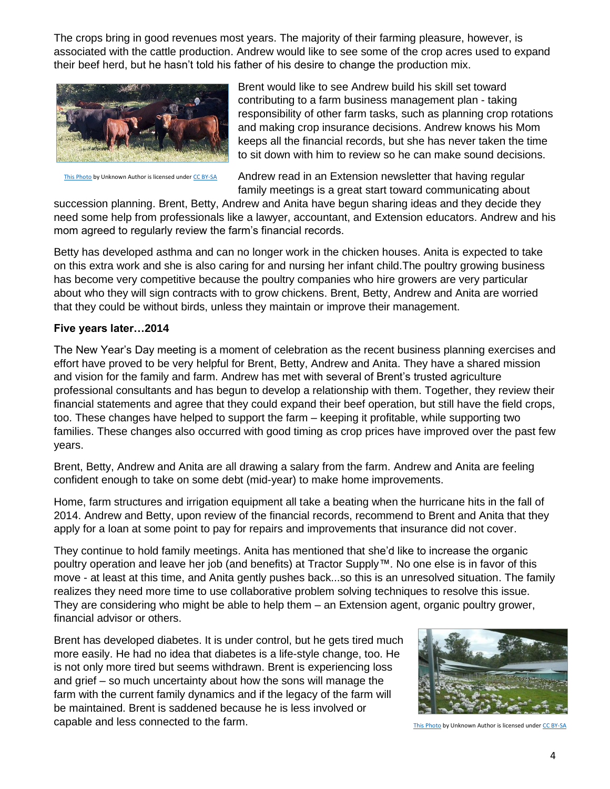The crops bring in good revenues most years. The majority of their farming pleasure, however, is associated with the cattle production. Andrew would like to see some of the crop acres used to expand their beef herd, but he hasn't told his father of his desire to change the production mix.



[This Photo](http://af.wikipedia.org/wiki/angus_(bees)) by Unknown Author is licensed unde[r CC BY-SA](https://creativecommons.org/licenses/by-sa/3.0/)

Brent would like to see Andrew build his skill set toward contributing to a farm business management plan - taking responsibility of other farm tasks, such as planning crop rotations and making crop insurance decisions. Andrew knows his Mom keeps all the financial records, but she has never taken the time to sit down with him to review so he can make sound decisions.

Andrew read in an Extension newsletter that having regular family meetings is a great start toward communicating about

succession planning. Brent, Betty, Andrew and Anita have begun sharing ideas and they decide they need some help from professionals like a lawyer, accountant, and Extension educators. Andrew and his mom agreed to regularly review the farm's financial records.

Betty has developed asthma and can no longer work in the chicken houses. Anita is expected to take on this extra work and she is also caring for and nursing her infant child.The poultry growing business has become very competitive because the poultry companies who hire growers are very particular about who they will sign contracts with to grow chickens. Brent, Betty, Andrew and Anita are worried that they could be without birds, unless they maintain or improve their management.

#### **Five years later…2014**

The New Year's Day meeting is a moment of celebration as the recent business planning exercises and effort have proved to be very helpful for Brent, Betty, Andrew and Anita. They have a shared mission and vision for the family and farm. Andrew has met with several of Brent's trusted agriculture professional consultants and has begun to develop a relationship with them. Together, they review their financial statements and agree that they could expand their beef operation, but still have the field crops, too. These changes have helped to support the farm – keeping it profitable, while supporting two families. These changes also occurred with good timing as crop prices have improved over the past few years.

Brent, Betty, Andrew and Anita are all drawing a salary from the farm. Andrew and Anita are feeling confident enough to take on some debt (mid-year) to make home improvements.

Home, farm structures and irrigation equipment all take a beating when the hurricane hits in the fall of 2014. Andrew and Betty, upon review of the financial records, recommend to Brent and Anita that they apply for a loan at some point to pay for repairs and improvements that insurance did not cover.

They continue to hold family meetings. Anita has mentioned that she'd like to increase the organic poultry operation and leave her job (and benefits) at Tractor Supply™. No one else is in favor of this move - at least at this time, and Anita gently pushes back...so this is an unresolved situation. The family realizes they need more time to use collaborative problem solving techniques to resolve this issue. They are considering who might be able to help them – an Extension agent, organic poultry grower, financial advisor or others.

Brent has developed diabetes. It is under control, but he gets tired much more easily. He had no idea that diabetes is a life-style change, too. He is not only more tired but seems withdrawn. Brent is experiencing loss and grief – so much uncertainty about how the sons will manage the farm with the current family dynamics and if the legacy of the farm will be maintained. Brent is saddened because he is less involved or capable and less connected to the farm.



[This Photo](https://www.chicken.org.au/chicken-meat-production/) by Unknown Author is licensed unde[r CC BY-SA](https://creativecommons.org/licenses/by-sa/3.0/)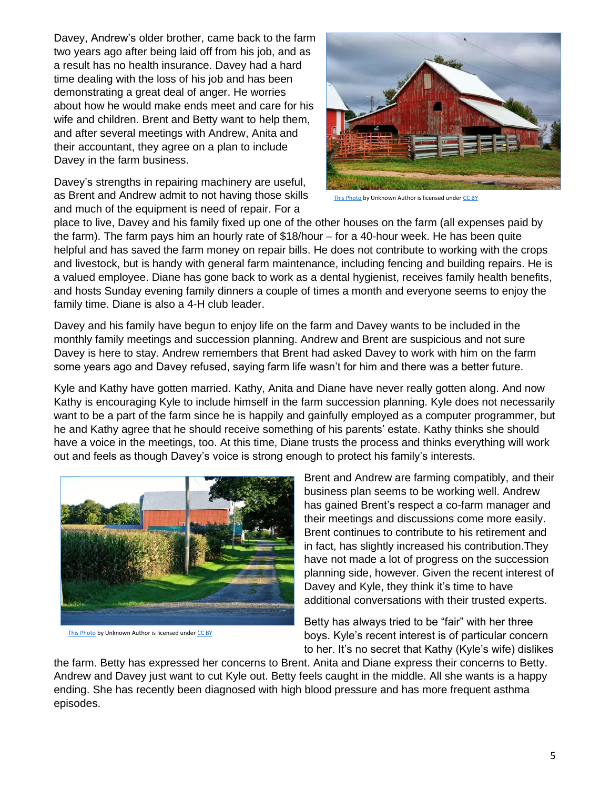Davey, Andrew's older brother, came back to the farm two years ago after being laid off from his job, and as a result has no health insurance. Davey had a hard time dealing with the loss of his job and has been demonstrating a great deal of anger. He worries about how he would make ends meet and care for his wife and children. Brent and Betty want to help them, and after several meetings with Andrew, Anita and their accountant, they agree on a plan to include Davey in the farm business.

Davey's strengths in repairing machinery are useful, as Brent and Andrew admit to not having those skills and much of the equipment is need of repair. For a



[This Photo](https://www.flickr.com/photos/carlwwycoff/3954011614) by Unknown Author is licensed unde[r CC BY](https://creativecommons.org/licenses/by/3.0/)

place to live, Davey and his family fixed up one of the other houses on the farm (all expenses paid by the farm). The farm pays him an hourly rate of \$18/hour – for a 40-hour week. He has been quite helpful and has saved the farm money on repair bills. He does not contribute to working with the crops and livestock, but is handy with general farm maintenance, including fencing and building repairs. He is a valued employee. Diane has gone back to work as a dental hygienist, receives family health benefits, and hosts Sunday evening family dinners a couple of times a month and everyone seems to enjoy the family time. Diane is also a 4-H club leader.

Davey and his family have begun to enjoy life on the farm and Davey wants to be included in the monthly family meetings and succession planning. Andrew and Brent are suspicious and not sure Davey is here to stay. Andrew remembers that Brent had asked Davey to work with him on the farm some years ago and Davey refused, saying farm life wasn't for him and there was a better future.

Kyle and Kathy have gotten married. Kathy, Anita and Diane have never really gotten along. And now Kathy is encouraging Kyle to include himself in the farm succession planning. Kyle does not necessarily want to be a part of the farm since he is happily and gainfully employed as a computer programmer, but he and Kathy agree that he should receive something of his parents' estate. Kathy thinks she should have a voice in the meetings, too. At this time, Diane trusts the process and thinks everything will work out and feels as though Davey's voice is strong enough to protect his family's interests.



[This Photo](https://www.flickr.com/photos/81076746@N00/9783729955) by Unknown Author is licensed unde[r CC BY](https://creativecommons.org/licenses/by/3.0/)

Brent and Andrew are farming compatibly, and their business plan seems to be working well. Andrew has gained Brent's respect a co-farm manager and their meetings and discussions come more easily. Brent continues to contribute to his retirement and in fact, has slightly increased his contribution.They have not made a lot of progress on the succession planning side, however. Given the recent interest of Davey and Kyle, they think it's time to have additional conversations with their trusted experts.

Betty has always tried to be "fair" with her three boys. Kyle's recent interest is of particular concern to her. It's no secret that Kathy (Kyle's wife) dislikes

the farm. Betty has expressed her concerns to Brent. Anita and Diane express their concerns to Betty. Andrew and Davey just want to cut Kyle out. Betty feels caught in the middle. All she wants is a happy ending. She has recently been diagnosed with high blood pressure and has more frequent asthma episodes.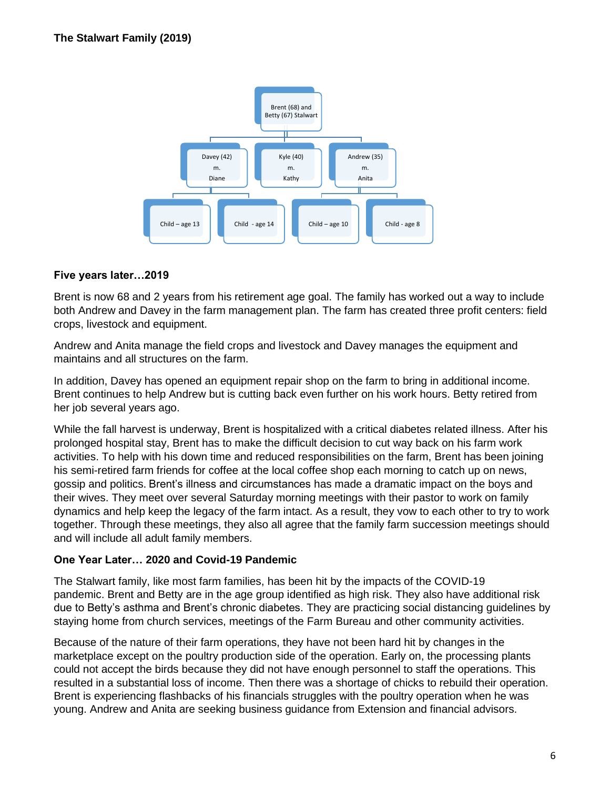

## **Five years later…2019**

Brent is now 68 and 2 years from his retirement age goal. The family has worked out a way to include both Andrew and Davey in the farm management plan. The farm has created three profit centers: field crops, livestock and equipment.

Andrew and Anita manage the field crops and livestock and Davey manages the equipment and maintains and all structures on the farm.

In addition, Davey has opened an equipment repair shop on the farm to bring in additional income. Brent continues to help Andrew but is cutting back even further on his work hours. Betty retired from her job several years ago.

While the fall harvest is underway, Brent is hospitalized with a critical diabetes related illness. After his prolonged hospital stay, Brent has to make the difficult decision to cut way back on his farm work activities. To help with his down time and reduced responsibilities on the farm, Brent has been joining his semi-retired farm friends for coffee at the local coffee shop each morning to catch up on news, gossip and politics. Brent's illness and circumstances has made a dramatic impact on the boys and their wives. They meet over several Saturday morning meetings with their pastor to work on family dynamics and help keep the legacy of the farm intact. As a result, they vow to each other to try to work together. Through these meetings, they also all agree that the family farm succession meetings should and will include all adult family members.

### **One Year Later… 2020 and Covid-19 Pandemic**

The Stalwart family, like most farm families, has been hit by the impacts of the COVID-19 pandemic. Brent and Betty are in the age group identified as high risk. They also have additional risk due to Betty's asthma and Brent's chronic diabetes. They are practicing social distancing guidelines by staying home from church services, meetings of the Farm Bureau and other community activities.

Because of the nature of their farm operations, they have not been hard hit by changes in the marketplace except on the poultry production side of the operation. Early on, the processing plants could not accept the birds because they did not have enough personnel to staff the operations. This resulted in a substantial loss of income. Then there was a shortage of chicks to rebuild their operation. Brent is experiencing flashbacks of his financials struggles with the poultry operation when he was young. Andrew and Anita are seeking business guidance from Extension and financial advisors.